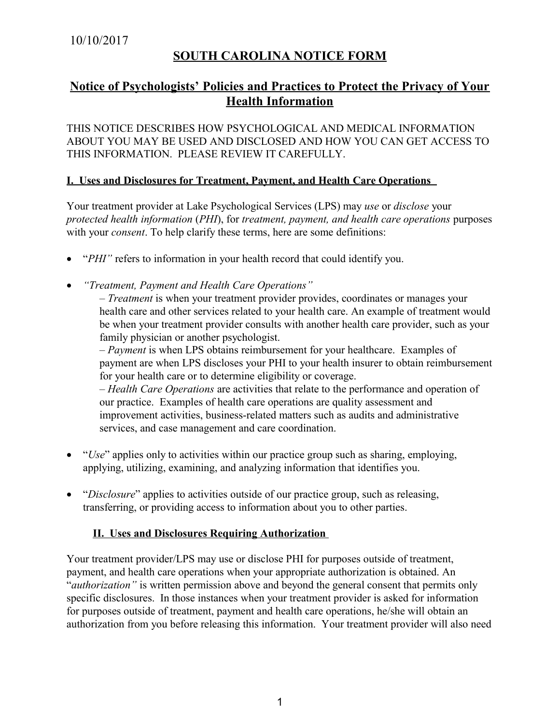# **SOUTH CAROLINA NOTICE FORM**

## **Notice of Psychologists' Policies and Practices to Protect the Privacy of Your Health Information**

THIS NOTICE DESCRIBES HOW PSYCHOLOGICAL AND MEDICAL INFORMATION ABOUT YOU MAY BE USED AND DISCLOSED AND HOW YOU CAN GET ACCESS TO THIS INFORMATION. PLEASE REVIEW IT CAREFULLY.

#### **I. Uses and Disclosures for Treatment, Payment, and Health Care Operations**

Your treatment provider at Lake Psychological Services (LPS) may *use* or *disclose* your *protected health information* (*PHI*), for *treatment, payment, and health care operations* purposes with your *consent*. To help clarify these terms, here are some definitions:

- "*PHI*" refers to information in your health record that could identify you.
- *"Treatment, Payment and Health Care Operations"*

– *Treatment* is when your treatment provider provides, coordinates or manages your health care and other services related to your health care. An example of treatment would be when your treatment provider consults with another health care provider, such as your family physician or another psychologist.

– *Payment* is when LPS obtains reimbursement for your healthcare. Examples of payment are when LPS discloses your PHI to your health insurer to obtain reimbursement for your health care or to determine eligibility or coverage.

– *Health Care Operations* are activities that relate to the performance and operation of our practice. Examples of health care operations are quality assessment and improvement activities, business-related matters such as audits and administrative services, and case management and care coordination.

- "*Use*" applies only to activities within our practice group such as sharing, employing, applying, utilizing, examining, and analyzing information that identifies you.
- "*Disclosure*" applies to activities outside of our practice group, such as releasing, transferring, or providing access to information about you to other parties.

## **II. Uses and Disclosures Requiring Authorization**

Your treatment provider/LPS may use or disclose PHI for purposes outside of treatment, payment, and health care operations when your appropriate authorization is obtained. An "*authorization"* is written permission above and beyond the general consent that permits only specific disclosures. In those instances when your treatment provider is asked for information for purposes outside of treatment, payment and health care operations, he/she will obtain an authorization from you before releasing this information. Your treatment provider will also need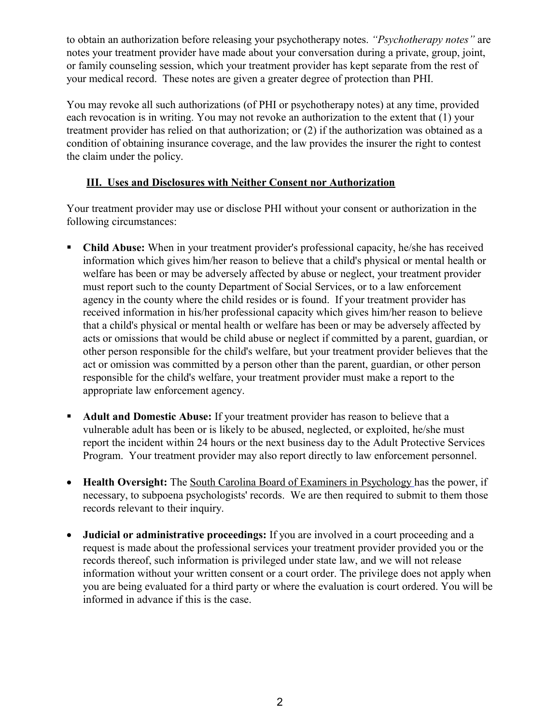to obtain an authorization before releasing your psychotherapy notes. *"Psychotherapy notes"* are notes your treatment provider have made about your conversation during a private, group, joint, or family counseling session, which your treatment provider has kept separate from the rest of your medical record. These notes are given a greater degree of protection than PHI.

You may revoke all such authorizations (of PHI or psychotherapy notes) at any time, provided each revocation is in writing. You may not revoke an authorization to the extent that (1) your treatment provider has relied on that authorization; or (2) if the authorization was obtained as a condition of obtaining insurance coverage, and the law provides the insurer the right to contest the claim under the policy.

## **III. Uses and Disclosures with Neither Consent nor Authorization**

Your treatment provider may use or disclose PHI without your consent or authorization in the following circumstances:

- **Child Abuse:** When in your treatment provider's professional capacity, he/she has received information which gives him/her reason to believe that a child's physical or mental health or welfare has been or may be adversely affected by abuse or neglect, your treatment provider must report such to the county Department of Social Services, or to a law enforcement agency in the county where the child resides or is found. If your treatment provider has received information in his/her professional capacity which gives him/her reason to believe that a child's physical or mental health or welfare has been or may be adversely affected by acts or omissions that would be child abuse or neglect if committed by a parent, guardian, or other person responsible for the child's welfare, but your treatment provider believes that the act or omission was committed by a person other than the parent, guardian, or other person responsible for the child's welfare, your treatment provider must make a report to the appropriate law enforcement agency.
- **Adult and Domestic Abuse:** If your treatment provider has reason to believe that a vulnerable adult has been or is likely to be abused, neglected, or exploited, he/she must report the incident within 24 hours or the next business day to the Adult Protective Services Program. Your treatment provider may also report directly to law enforcement personnel.
- **Health Oversight:** The South Carolina Board of Examiners in Psychology has the power, if necessary, to subpoena psychologists' records. We are then required to submit to them those records relevant to their inquiry.
- **Judicial or administrative proceedings:** If you are involved in a court proceeding and a request is made about the professional services your treatment provider provided you or the records thereof, such information is privileged under state law, and we will not release information without your written consent or a court order. The privilege does not apply when you are being evaluated for a third party or where the evaluation is court ordered. You will be informed in advance if this is the case.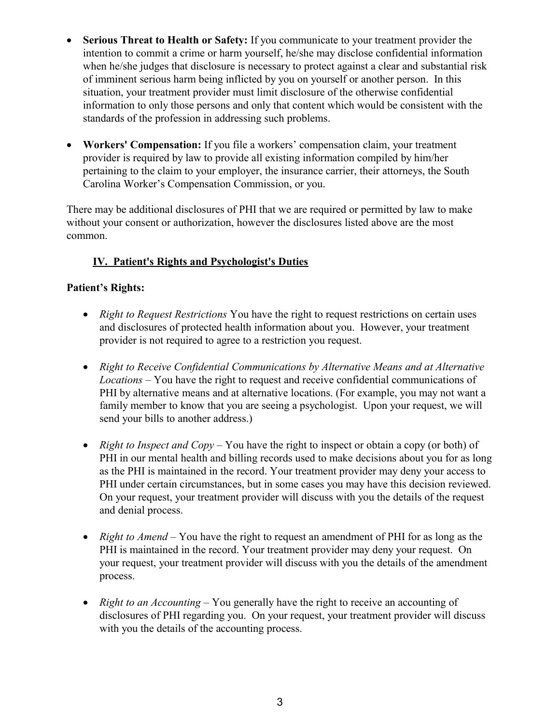- **Serious Threat to Health or Safety:** If you communicate to your treatment provider the intention to commit a crime or harm yourself, he/she may disclose confidential information when he/she judges that disclosure is necessary to protect against a clear and substantial risk of imminent serious harm being inflicted by you on yourself or another person. In this situation, your treatment provider must limit disclosure of the otherwise confidential information to only those persons and only that content which would be consistent with the standards of the profession in addressing such problems.
- **Workers' Compensation:** If you file a workers' compensation claim, your treatment provider is required by law to provide all existing information compiled by him/her pertaining to the claim to your employer, the insurance carrier, their attorneys, the South Carolina Worker's Compensation Commission, or you.

There may be additional disclosures of PHI that we are required or permitted by law to make without your consent or authorization, however the disclosures listed above are the most common.

## **IV. Patient's Rights and Psychologist's Duties**

## **Patient's Rights:**

- *Right to Request Restrictions* You have the right to request restrictions on certain uses and disclosures of protected health information about you. However, your treatment provider is not required to agree to a restriction you request.
- *Right to Receive Confidential Communications by Alternative Means and at Alternative Locations* – You have the right to request and receive confidential communications of PHI by alternative means and at alternative locations. (For example, you may not want a family member to know that you are seeing a psychologist. Upon your request, we will send your bills to another address.)
- *Right to Inspect and Copy* You have the right to inspect or obtain a copy (or both) of PHI in our mental health and billing records used to make decisions about you for as long as the PHI is maintained in the record. Your treatment provider may deny your access to PHI under certain circumstances, but in some cases you may have this decision reviewed. On your request, your treatment provider will discuss with you the details of the request and denial process.
- *Right to Amend* You have the right to request an amendment of PHI for as long as the PHI is maintained in the record. Your treatment provider may deny your request. On your request, your treatment provider will discuss with you the details of the amendment process.
- *Right to an Accounting* You generally have the right to receive an accounting of disclosures of PHI regarding you. On your request, your treatment provider will discuss with you the details of the accounting process.